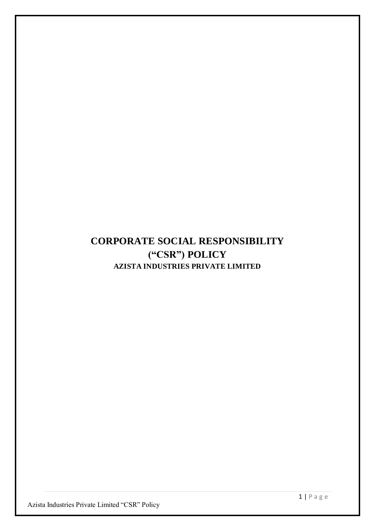# **CORPORATE SOCIAL RESPONSIBILITY ("CSR") POLICY AZISTA INDUSTRIES PRIVATE LIMITED**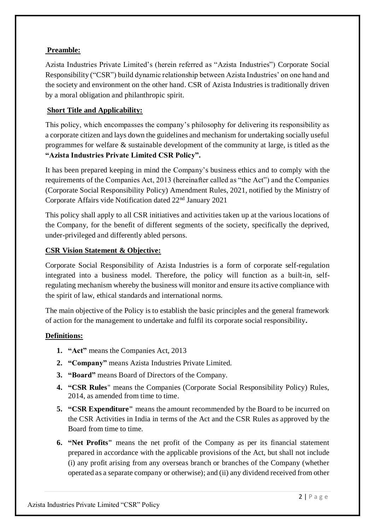## **Preamble:**

Azista Industries Private Limited's (herein referred as "Azista Industries") Corporate Social Responsibility ("CSR") build dynamic relationship between Azista Industries' on one hand and the society and environment on the other hand. CSR of Azista Industries is traditionally driven by a moral obligation and philanthropic spirit.

# **Short Title and Applicability:**

This policy, which encompasses the company's philosophy for delivering its responsibility as a corporate citizen and lays down the guidelines and mechanism for undertaking socially useful programmes for welfare & sustainable development of the community at large, is titled as the **"Azista Industries Private Limited CSR Policy".**

It has been prepared keeping in mind the Company's business ethics and to comply with the requirements of the Companies Act, 2013 (hereinafter called as "the Act") and the Companies (Corporate Social Responsibility Policy) Amendment Rules, 2021, notified by the Ministry of Corporate Affairs vide Notification dated 22nd January 2021

This policy shall apply to all CSR initiatives and activities taken up at the various locations of the Company, for the benefit of different segments of the society, specifically the deprived, under-privileged and differently abled persons.

## **CSR Vision Statement & Objective:**

Corporate Social Responsibility of Azista Industries is a form of corporate self-regulation integrated into a business model. Therefore, the policy will function as a built-in, selfregulating mechanism whereby the business will monitor and ensure its active compliance with the spirit of law, ethical standards and international norms.

The main objective of the Policy is to establish the basic principles and the general framework of action for the management to undertake and fulfil its corporate social responsibility**.**

## **Definitions:**

- **1. "Act"** means the Companies Act, 2013
- **2. "Company"** means Azista Industries Private Limited.
- **3. "Board"** means Board of Directors of the Company.
- **4. "CSR Rules**" means the Companies (Corporate Social Responsibility Policy) Rules, 2014, as amended from time to time.
- **5. "CSR Expenditure"** means the amount recommended by the Board to be incurred on the CSR Activities in India in terms of the Act and the CSR Rules as approved by the Board from time to time.
- **6. "Net Profits"** means the net profit of the Company as per its financial statement prepared in accordance with the applicable provisions of the Act, but shall not include (i) any profit arising from any overseas branch or branches of the Company (whether operated as a separate company or otherwise); and (ii) any dividend received from other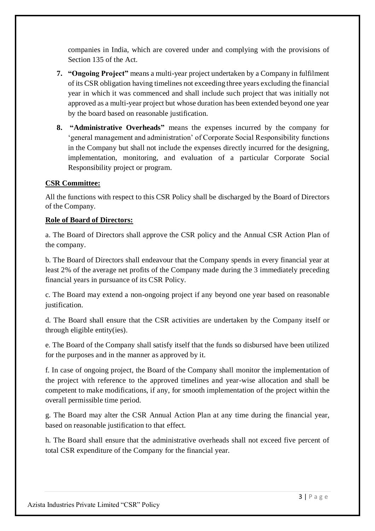companies in India, which are covered under and complying with the provisions of Section 135 of the Act.

- **7. "Ongoing Project"** means a multi-year project undertaken by a Company in fulfilment of its CSR obligation having timelines not exceeding three years excluding the financial year in which it was commenced and shall include such project that was initially not approved as a multi-year project but whose duration has been extended beyond one year by the board based on reasonable justification.
- **8. "Administrative Overheads"** means the expenses incurred by the company for 'general management and administration' of Corporate Social Responsibility functions in the Company but shall not include the expenses directly incurred for the designing, implementation, monitoring, and evaluation of a particular Corporate Social Responsibility project or program.

#### **CSR Committee:**

All the functions with respect to this CSR Policy shall be discharged by the Board of Directors of the Company.

#### **Role of Board of Directors:**

a. The Board of Directors shall approve the CSR policy and the Annual CSR Action Plan of the company.

b. The Board of Directors shall endeavour that the Company spends in every financial year at least 2% of the average net profits of the Company made during the 3 immediately preceding financial years in pursuance of its CSR Policy.

c. The Board may extend a non-ongoing project if any beyond one year based on reasonable justification.

d. The Board shall ensure that the CSR activities are undertaken by the Company itself or through eligible entity(ies).

e. The Board of the Company shall satisfy itself that the funds so disbursed have been utilized for the purposes and in the manner as approved by it.

f. In case of ongoing project, the Board of the Company shall monitor the implementation of the project with reference to the approved timelines and year-wise allocation and shall be competent to make modifications, if any, for smooth implementation of the project within the overall permissible time period.

g. The Board may alter the CSR Annual Action Plan at any time during the financial year, based on reasonable justification to that effect.

h. The Board shall ensure that the administrative overheads shall not exceed five percent of total CSR expenditure of the Company for the financial year.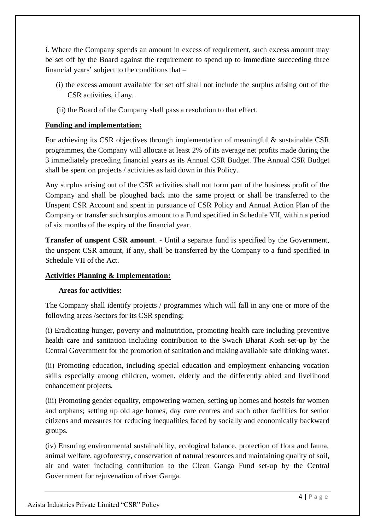i. Where the Company spends an amount in excess of requirement, such excess amount may be set off by the Board against the requirement to spend up to immediate succeeding three financial years' subject to the conditions that –

- (i) the excess amount available for set off shall not include the surplus arising out of the CSR activities, if any.
- (ii) the Board of the Company shall pass a resolution to that effect.

### **Funding and implementation:**

For achieving its CSR objectives through implementation of meaningful & sustainable CSR programmes, the Company will allocate at least 2% of its average net profits made during the 3 immediately preceding financial years as its Annual CSR Budget. The Annual CSR Budget shall be spent on projects / activities as laid down in this Policy.

Any surplus arising out of the CSR activities shall not form part of the business profit of the Company and shall be ploughed back into the same project or shall be transferred to the Unspent CSR Account and spent in pursuance of CSR Policy and Annual Action Plan of the Company or transfer such surplus amount to a Fund specified in Schedule VII, within a period of six months of the expiry of the financial year.

**Transfer of unspent CSR amount**. - Until a separate fund is specified by the Government, the unspent CSR amount, if any, shall be transferred by the Company to a fund specified in Schedule VII of the Act.

#### **Activities Planning & Implementation:**

#### **Areas for activities:**

The Company shall identify projects / programmes which will fall in any one or more of the following areas /sectors for its CSR spending:

(i) Eradicating hunger, poverty and malnutrition, promoting health care including preventive health care and sanitation including contribution to the Swach Bharat Kosh set-up by the Central Government for the promotion of sanitation and making available safe drinking water.

(ii) Promoting education, including special education and employment enhancing vocation skills especially among children, women, elderly and the differently abled and livelihood enhancement projects.

(iii) Promoting gender equality, empowering women, setting up homes and hostels for women and orphans; setting up old age homes, day care centres and such other facilities for senior citizens and measures for reducing inequalities faced by socially and economically backward groups.

(iv) Ensuring environmental sustainability, ecological balance, protection of flora and fauna, animal welfare, agroforestry, conservation of natural resources and maintaining quality of soil, air and water including contribution to the Clean Ganga Fund set-up by the Central Government for rejuvenation of river Ganga.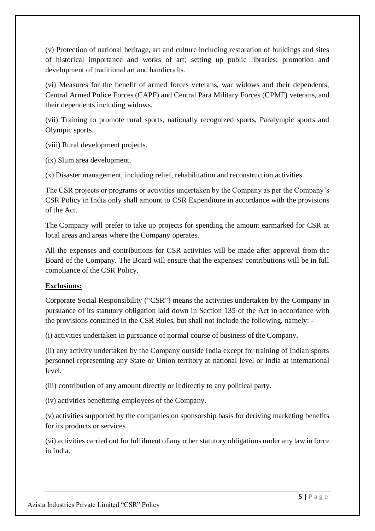(v) Protection of national heritage, art and culture including restoration of buildings and sites of historical importance and works of art; setting up public libraries; promotion and development of traditional art and handicrafts.

(vi) Measures for the benefit of armed forces veterans, war widows and their dependents, Central Armed Police Forces (CAPF) and Central Para Military Forces (CPMF) veterans, and their dependents including widows.

(vii) Training to promote rural sports, nationally recognized sports, Paralympic sports and Olympic sports.

(viii) Rural development projects.

(ix) Slum area development.

(x) Disaster management, including relief, rehabilitation and reconstruction activities.

The CSR projects or programs or activities undertaken by the Company as per the Company's CSR Policy in India only shall amount to CSR Expenditure in accordance with the provisions of the Act.

The Company will prefer to take up projects for spending the amount earmarked for CSR at local areas and areas where the Company operates.

All the expenses and contributions for CSR activities will be made after approval from the Board of the Company. The Board will ensure that the expenses/ contributions will be in full compliance of the CSR Policy.

## **Exclusions:**

Corporate Social Responsibility ("CSR") means the activities undertaken by the Company in pursuance of its statutory obligation laid down in Section 135 of the Act in accordance with the provisions contained in the CSR Rules, but shall not include the following, namely: -

(i) activities undertaken in pursuance of normal course of business of the Company.

(ii) any activity undertaken by the Company outside India except for training of Indian sports personnel representing any State or Union territory at national level or India at international level.

(iii) contribution of any amount directly or indirectly to any political party.

(iv) activities benefitting employees of the Company.

(v) activities supported by the companies on sponsorship basis for deriving marketing benefits for its products or services.

(vi) activities carried out for fulfilment of any other statutory obligations under any law in force in India.